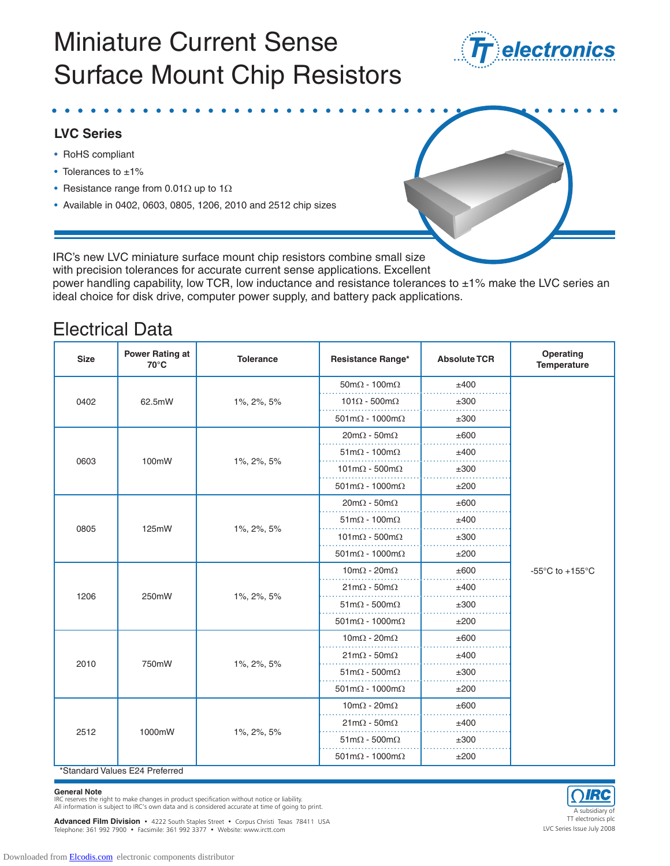

#### **LVC Series**

- RoHS compliant
- Tolerances to ±1%
- Resistance range from 0.01 $\Omega$  up to 1 $\Omega$
- Available in 0402, 0603, 0805, 1206, 2010 and 2512 chip sizes



IRC's new LVC miniature surface mount chip resistors combine small size with precision tolerances for accurate current sense applications. Excellent

power handling capability, low TCR, low inductance and resistance tolerances to ±1% make the LVC series an ideal choice for disk drive, computer power supply, and battery pack applications.

### Electrical Data

| <b>Size</b> | <b>Power Rating at</b><br>70°C | <b>Tolerance</b> | Resistance Range*                          | <b>Absolute TCR</b> | Operating<br>Temperature                              |
|-------------|--------------------------------|------------------|--------------------------------------------|---------------------|-------------------------------------------------------|
| 0402        | 62.5mW                         | 1%, 2%, 5%       | $50 \text{m}\Omega - 100 \text{m}\Omega$   | ±400                |                                                       |
|             |                                |                  | $101\Omega - 500 \text{m}\Omega$           | ±300                |                                                       |
|             |                                |                  | $501 \text{m}\Omega - 1000 \text{m}\Omega$ | ±300                |                                                       |
| 0603        | 100mW                          | 1%, 2%, 5%       | $20m\Omega - 50m\Omega$                    | ±600                |                                                       |
|             |                                |                  | $51 \text{m}\Omega - 100 \text{m}\Omega$   | ±400                |                                                       |
|             |                                |                  | $101 \text{m}\Omega - 500 \text{m}\Omega$  | ±300                |                                                       |
|             |                                |                  | $501 \text{m}\Omega - 1000 \text{m}\Omega$ | ±200                |                                                       |
| 0805        | 125mW                          | 1%, 2%, 5%       | $20m\Omega - 50m\Omega$                    | ±600                |                                                       |
|             |                                |                  | $51 \text{m}\Omega - 100 \text{m}\Omega$   | ±400                |                                                       |
|             |                                |                  | $101 \text{m}\Omega - 500 \text{m}\Omega$  | ±300                |                                                       |
|             |                                |                  | $501 \text{m}\Omega - 1000 \text{m}\Omega$ | ±200                |                                                       |
| 1206        | 250mW                          | 1%, 2%, 5%       | $10 \text{m}\Omega - 20 \text{m}\Omega$    | ±600                | -55 $\mathrm{^{\circ}C}$ to +155 $\mathrm{^{\circ}C}$ |
|             |                                |                  | $21 \text{m}\Omega - 50 \text{m}\Omega$    | ±400                |                                                       |
|             |                                |                  | $51 \text{m}\Omega - 500 \text{m}\Omega$   | ±300                |                                                       |
|             |                                |                  | $501 \text{m}\Omega - 1000 \text{m}\Omega$ | ±200                |                                                       |
| 2010        | 750mW                          | 1%, 2%, 5%       | $10m\Omega - 20m\Omega$                    | ±600                |                                                       |
|             |                                |                  | $21m\Omega - 50m\Omega$                    | ±400                |                                                       |
|             |                                |                  | $51 \text{m}\Omega - 500 \text{m}\Omega$   | ±300                |                                                       |
|             |                                |                  | $501 \text{m}\Omega - 1000 \text{m}\Omega$ | ±200                |                                                       |
| 2512        | 1000mW                         | 1%, 2%, 5%       | $10 \text{m}\Omega - 20 \text{m}\Omega$    | ±600                |                                                       |
|             |                                |                  | $21m\Omega - 50m\Omega$                    | ±400                |                                                       |
|             |                                |                  | $51 \text{m}\Omega - 500 \text{m}\Omega$   | ±300                |                                                       |
|             |                                |                  | $501 \text{m}\Omega - 1000 \text{m}\Omega$ | ±200                |                                                       |

\*Standard Values E24 Preferred

#### **General Note**

IRC reserves the right to make changes in product specification without notice or liability.

All information is subject to IRC's own data and is considered accurate at time of going to print.<br>A subsidiary of the subsidiary of the subsidiary of the subsidiary of the subsidiary of the subsidiary of the subsidiary of TT electronics plc **Advanced Film Division •** 4222 South Staples Street • Corpus Christi Texas 78411 USA<br>Telephone: 361 992 7900 • Facsimile: 361 992 3377 • Website: www.irctt.com Telephone: 361 992 7900 • Facsimile: 361 992 3377 • Website: www.irctt.com

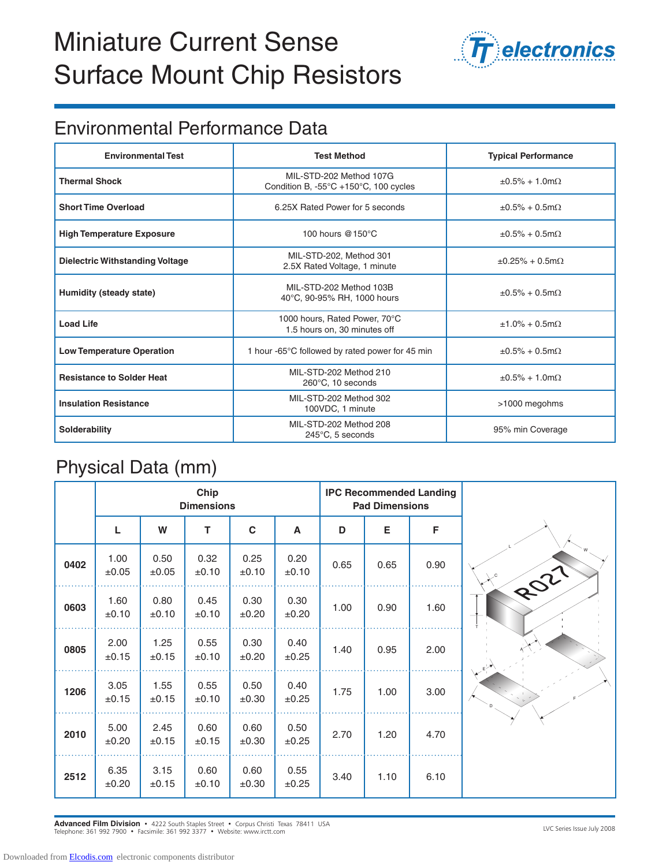

### Environmental Performance Data

| <b>Environmental Test</b>              | <b>Test Method</b>                                                                   | <b>Typical Performance</b>        |  |  |
|----------------------------------------|--------------------------------------------------------------------------------------|-----------------------------------|--|--|
| <b>Thermal Shock</b>                   | MIL-STD-202 Method 107G<br>Condition B, -55 $\degree$ C +150 $\degree$ C, 100 cycles | $\pm 0.5\% + 1.0$ m $\Omega$      |  |  |
| <b>Short Time Overload</b>             | 6.25X Rated Power for 5 seconds                                                      | $\pm 0.5\% + 0.5$ m $\Omega$      |  |  |
| <b>High Temperature Exposure</b>       | 100 hours $@150°C$                                                                   | $\pm 0.5\% + 0.5$ m $\Omega$      |  |  |
| <b>Dielectric Withstanding Voltage</b> | MIL-STD-202, Method 301<br>2.5X Rated Voltage, 1 minute                              | $\pm 0.25\% + 0.5 \text{m}\Omega$ |  |  |
| Humidity (steady state)                | MIL-STD-202 Method 103B<br>40°C, 90-95% RH, 1000 hours                               | $\pm 0.5\% + 0.5$ m $\Omega$      |  |  |
| <b>Load Life</b>                       | 1000 hours, Rated Power, 70°C<br>1.5 hours on, 30 minutes off                        | $±1.0\% + 0.5$ m $\Omega$         |  |  |
| <b>Low Temperature Operation</b>       | 1 hour -65°C followed by rated power for 45 min                                      | $\pm 0.5\% + 0.5$ m $\Omega$      |  |  |
| <b>Resistance to Solder Heat</b>       | MIL-STD-202 Method 210<br>260°C, 10 seconds                                          | $\pm 0.5\% + 1.0$ m $\Omega$      |  |  |
| <b>Insulation Resistance</b>           | MIL-STD-202 Method 302<br>100VDC, 1 minute                                           | >1000 megohms                     |  |  |
| Solderability                          | MII-STD-202 Method 208<br>245°C, 5 seconds                                           | 95% min Coverage                  |  |  |

### Physical Data (mm)

|      | Chip<br><b>Dimensions</b> |                    |               |               |                    | <b>IPC Recommended Landing</b><br><b>Pad Dimensions</b> |      |      |      |
|------|---------------------------|--------------------|---------------|---------------|--------------------|---------------------------------------------------------|------|------|------|
|      | L                         | W                  | T             | $\mathbf c$   | A                  | D                                                       | Е    | F    |      |
| 0402 | 1.00<br>$\pm 0.05$        | 0.50<br>±0.05      | 0.32<br>±0.10 | 0.25<br>±0.10 | 0.20<br>±0.10      | 0.65                                                    | 0.65 | 0.90 | ROZI |
| 0603 | 1.60<br>±0.10             | 0.80<br>±0.10      | 0.45<br>±0.10 | 0.30<br>±0.20 | 0.30<br>±0.20      | 1.00                                                    | 0.90 | 1.60 |      |
| 0805 | 2.00<br>±0.15             | 1.25<br>±0.15      | 0.55<br>±0.10 | 0.30<br>±0.20 | 0.40<br>±0.25      | 1.40                                                    | 0.95 | 2.00 |      |
| 1206 | 3.05<br>$\pm 0.15$        | 1.55<br>$\pm 0.15$ | 0.55<br>±0.10 | 0.50<br>±0.30 | 0.40<br>$\pm 0.25$ | 1.75                                                    | 1.00 | 3.00 |      |
| 2010 | 5.00<br>±0.20             | 2.45<br>±0.15      | 0.60<br>±0.15 | 0.60<br>±0.30 | 0.50<br>±0.25      | 2.70                                                    | 1.20 | 4.70 |      |
| 2512 | 6.35<br>±0.20             | 3.15<br>±0.15      | 0.60<br>±0.10 | 0.60<br>±0.30 | 0.55<br>±0.25      | 3.40                                                    | 1.10 | 6.10 |      |

LVC Series Issue July 2008 **Advanced Film Division** • 4222 South Staples Street • Corpus Christi Texas 78411 USA Telephone: 361 992 7900 • Facsimile: 361 992 3377 • Website: www.irctt.com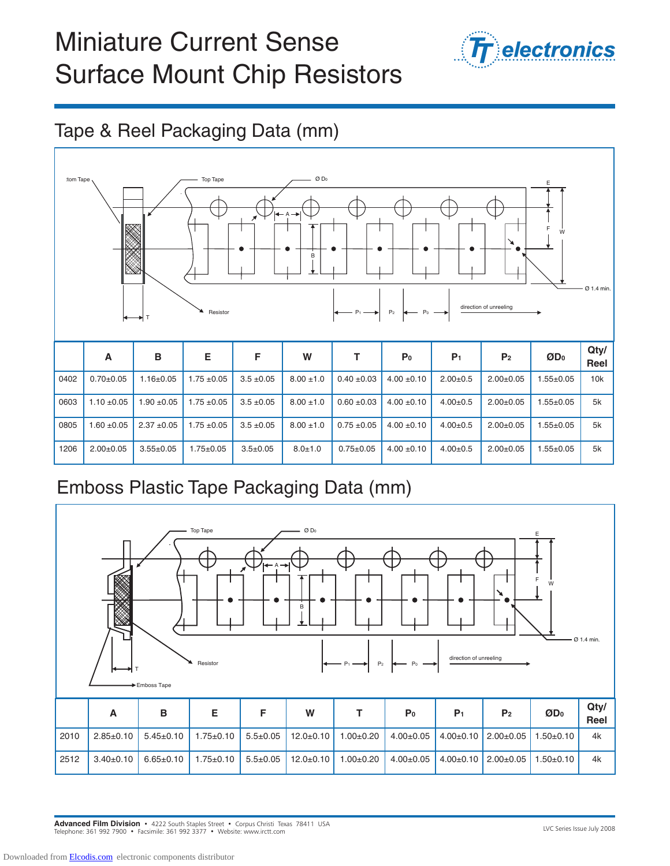

### Tape & Reel Packaging Data (mm)



### Emboss Plastic Tape Packaging Data (mm)



LVC Series Issue July 2008 **Advanced Film Division** • 4222 South Staples Street • Corpus Christi Texas 78411 USA Telephone: 361 992 7900 • Facsimile: 361 992 3377 • Website: www.irctt.com